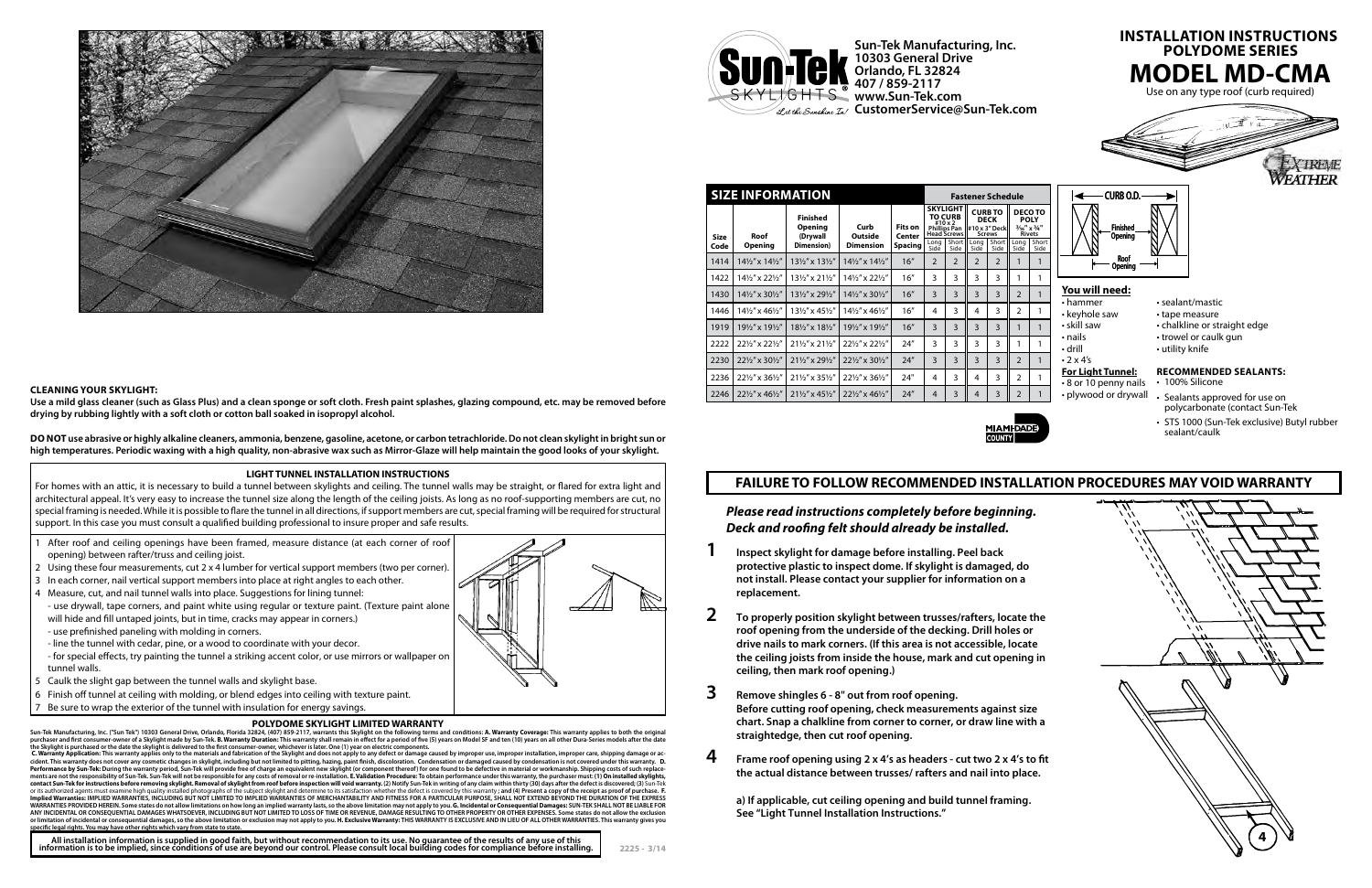| <b>SIZE INFORMATION</b> |                                        |                                                             |                                        |                                            | <b>Fastener Schedule</b>                                                                                          |                         |                                                                               |                        |                                                                              |                     |
|-------------------------|----------------------------------------|-------------------------------------------------------------|----------------------------------------|--------------------------------------------|-------------------------------------------------------------------------------------------------------------------|-------------------------|-------------------------------------------------------------------------------|------------------------|------------------------------------------------------------------------------|---------------------|
| <b>Size</b><br>Code     | Roof<br>Opening                        | <b>Finished</b><br><b>Opening</b><br>(Drywall<br>Dimension) | Curb<br>Outside<br><b>Dimension</b>    | <b>Fits on</b><br>Center<br><b>Spacing</b> | <b>SKYLIGHT</b><br><b>TO CURB</b><br>$#10 \times 2$<br><b>Phillips Pan</b><br><b>Head Screws</b><br>Short<br>Lona |                         | <b>CURB TO</b><br><b>DECK</b><br>#10 x 3" Deck<br><b>Screws</b><br>Long Short |                        | <b>DECOTO</b><br><b>POLY</b><br>3/16" x 3/4"<br><b>Rivets</b><br>Shc<br>Lona |                     |
| 1414                    | 141/2" x 141/2"                        | 131/2" x 131/2"                                             | $14\frac{1}{2}$ " x $14\frac{1}{2}$ "  | 16"                                        | Side<br>$\overline{2}$                                                                                            | Side<br>$\overline{2}$  | Side<br>$\overline{2}$                                                        | Side<br>$\overline{2}$ | Side                                                                         | Sid<br>$\mathbf{1}$ |
|                         |                                        |                                                             |                                        |                                            |                                                                                                                   |                         |                                                                               |                        |                                                                              |                     |
| 1422                    | 141/2" x 221/2"                        | 131/2" x 211/2"                                             | 141/2" x 221/2"                        | 16"                                        | 3                                                                                                                 | 3                       | 3                                                                             | 3                      | 1                                                                            | 1                   |
| 1430                    | $14\frac{1}{2}$ " x 30 $\frac{1}{2}$ " | 131/2" x 291/2"                                             | $14\frac{1}{2}$ " x 30 $\frac{1}{2}$ " | 16''                                       | 3                                                                                                                 | $\overline{\mathbf{3}}$ | 3                                                                             | 3                      | 2                                                                            | $\mathbf{1}$        |
| 1446                    | 141/2" x 461/2"                        | 131/2" x 451/2"                                             | 141/2" x 461/2"                        | 16''                                       | 4                                                                                                                 | 3                       | 4                                                                             | 3                      | $\overline{2}$                                                               | 1                   |
| 1919                    | 191/2" x 191/2"                        | 181/2" x 181/2"                                             | 191/2" x 191/2"                        | 16"                                        | 3                                                                                                                 | $\overline{\mathbf{3}}$ | $\overline{3}$                                                                | 3                      | 1                                                                            | $\mathbf{1}$        |
| 2222                    | 221/2" x 221/2"                        | 211/2" x 211/2"                                             | 221/2" x 221/2"                        | 24''                                       | 3                                                                                                                 | 3                       | 3                                                                             | 3                      | 1                                                                            | 1                   |
| 2230                    | 221/2" x 301/2"                        | 211/2" x 291/2"                                             | 221/2" x 301/2"                        | 24''                                       | $\overline{\mathsf{B}}$                                                                                           | $\overline{\mathbf{3}}$ | 3                                                                             | 3                      | $\overline{2}$                                                               | $\mathbf{1}$        |
| 2236                    | 221/2" x 361/2"                        | 211/2" x 351/2"                                             | 221/2" x 361/2"                        | 24"                                        | 4                                                                                                                 | 3                       | 4                                                                             | 3                      | $\overline{2}$                                                               | 1                   |
| 2246                    | 221/2" x 461/2"                        | $21\frac{1}{2}$ x 45 $\frac{1}{2}$                          | 221/2" x 461/2"                        | 24''                                       | $\overline{4}$                                                                                                    | 3                       | $\overline{4}$                                                                | 3                      | $\overline{2}$                                                               | 1                   |

**Sun-Tek Manufacturing, Inc. 10303 General Drive Orlando, FL 32824 407 / 859-2117 www.Sun-Tek.com CustomerService@Sun-Tek.com**

## **LIGHT TUNNEL INSTALLATION INSTRUCTIONS**

## Be sure to wrap the exterior of the tunnel with insulation for energy savings. **POLYDOME SKYLIGHT LIMITED WARRANTY**

Sun-Tek Manufacturing, Inc. ("Sun Tek") 10303 General Drive, Orlando, Florida 32824, (407) 859-2117, warrants this Skylight on the following terms and conditions: A. Warranty Coverage: This warranty applies to both the ori

C. Warranty Application: This warranty applies only to the materials and fabrication of the Skylight and does not apply to any defect or damage caused by improper use, cident. This warranty does not cover any cosmetic changes in skylight, including but not limited to pitting, hazing, paint finish, discoloration. Condensation or damaged caused by condensation is not covered under this war contact Sun-Tek for instructions before removing skylight. Removal of skylight from roof before inspection will void warranty. (2) Notify Sun-Tek in writing of any claim within thirty (30) days after the defect is discover Implied Warranties: IMPLIED WARRANTIES, INCLUDING BUT NOT LIMITED TO IMPLIED WARRANTIES OF MERCHANTABILITY AND FITNESS FOR A PARTICULAR PURPOSE, SHALL NOT EXTEND BEYOND THE DURATION OF THE EXPRESS<br>WARRANTIES PROVIDED HEREI ANY INCIDENTAL OR CONSEQUENTIAL DAMAGES WHATSOEVER, INCLUDING BUT NOT LIMITED TO LOSS OF TIME OR REVENUE, DAMAGE RESULTING TO OTHER PROPERTY OR OTHER EXPENSES. Some states do not allow the exclusion<br>or limitation of incide

All installation information is supplied in good faith, but without recommendation to its use. No guarantee of the results of any use of this<br>information is to be implied, since conditions of use are beyond our control. Pl



For homes with an attic, it is necessary to build a tunnel between skylights and ceiling. The tunnel walls may be straight, or flared for extra light and architectural appeal. It's very easy to increase the tunnel size along the length of the ceiling joists. As long as no roof-supporting members are cut, no special framing is needed. While it is possible to flare the tunnel in all directions, if support members are cut, special framing will be required for structural support. In this case you must consult a qualified building professional to insure proper and safe results.

- 1 After roof and ceiling openings have been framed, measure distance (at each corner of roof opening) between rafter/truss and ceiling joist.
- 2 Using these four measurements, cut 2 x 4 lumber for vertical support members (two per corner).
- 3 In each corner, nail vertical support members into place at right angles to each other.
- 4 Measure, cut, and nail tunnel walls into place. Suggestions for lining tunnel: - use drywall, tape corners, and paint white using regular or texture paint. (Texture paint alone will hide and fill untaped joints, but in time, cracks may appear in corners.)
- use prefinished paneling with molding in corners.
- line the tunnel with cedar, pine, or a wood to coordinate with your decor.
- for special effects, try painting the tunnel a striking accent color, or use mirrors or wallpaper on tunnel walls.
- 5 Caulk the slight gap between the tunnel walls and skylight base.
- 6 Finish off tunnel at ceiling with molding, or blend edges into ceiling with texture paint.



*Please read instructions completely before beginning. Deck and roofing felt should already be installed.*

- **1 Inspect skylight for damage before installing. Peel back protective plastic to inspect dome. If skylight is damaged, do not install. Please contact your supplier for information on a replacement.**
- **2 To properly position skylight between trusses/rafters, locate the roof opening from the underside of the decking. Drill holes or drive nails to mark corners. (If this area is not accessible, locate the ceiling joists from inside the house, mark and cut opening in ceiling, then mark roof opening.)**
- **3 Remove shingles 6 8" out from roof opening. Before cutting roof opening, check measurements against size chart. Snap a chalkline from corner to corner, or draw line with a straightedge, then cut roof opening.**
- **4 Frame roof opening using 2 x 4's as headers cut two 2 x 4's to fit the actual distance between trusses/ rafters and nail into place.**

**a) If applicable, cut ceiling opening and build tunnel framing. See "Light Tunnel Installation Instructions."**





**4**



## **Clea ning Yo ur Skylight:**

**Use a mild glass cleaner (such as Glass Plus) and a clean sponge or soft cloth. Fresh paint splashes, glazing compound, etc. may be removed before drying by rubbing lightly with a soft cloth or cotton ball soaked in isopropyl alcohol.**

**DO NOT use abrasive or highly alkaline cleaners, ammonia, benzene, gasoline, acetone, or carbon tetrachloride. Do not clean skylight in bright sun or high temperatures. Periodic waxing with a high quality, non-abrasive wax such as Mirror-Glaze will help maintain the good looks of your skylight.**